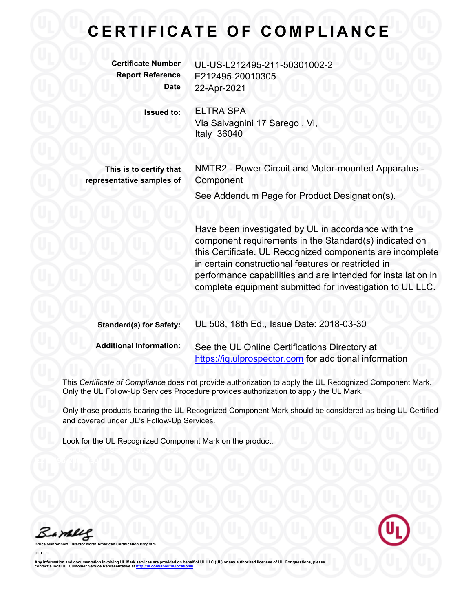## **C E R T I F I C A T E O F C O M P L I A N C E**

**Certificate Number** UL-US-L212495-211-50301002-2 **Report Reference** E212495-20010305 **Date** 22-Apr-2021

**Issued to:** ELTRA SPA

Via Salvagnini 17 Sarego , Vi, Italy 36040

**This is to certify that representative samples of**

NMTR2 - Power Circuit and Motor-mounted Apparatus - **Component** 

See Addendum Page for Product Designation(s).

Have been investigated by UL in accordance with the component requirements in the Standard(s) indicated on this Certificate. UL Recognized components are incomplete in certain constructional features or restricted in performance capabilities and are intended for installation in complete equipment submitted for investigation to UL LLC.

| <b>Standard(s) for Safety:</b> | UL 508, 18th Ed., Issue Date: 2018-03-30                                                                |
|--------------------------------|---------------------------------------------------------------------------------------------------------|
| <b>Additional Information:</b> | See the UL Online Certifications Directory at<br>https://iq.ulprospector.com for additional information |

This *Certificate of Compliance* does not provide authorization to apply the UL Recognized Component Mark. Only the UL Follow-Up Services Procedure provides authorization to apply the UL Mark.

Only those products bearing the UL Recognized Component Mark should be considered as being UL Certified and covered under UL's Follow-Up Services.

Look for the UL Recognized Component Mark on the product.

Bamblel

**Broard UL LLC**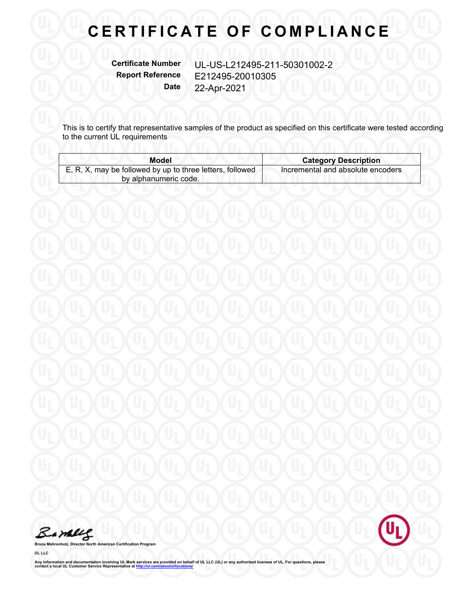## **CERTIFICATE OF COMPLIANCE**

**Certificate Number** UL-US-L212495-211-50301002-2 **Report Reference** E212495-20010305 **Date** 22-Apr-2021

This is to certify that representative samples of the product as specified on this certificate were tested according to the current UL requirements

| Model                                                     | <b>Category Description</b>       |
|-----------------------------------------------------------|-----------------------------------|
| E, R, X, may be followed by up to three letters, followed | Incremental and absolute encoders |
| by alphanumeric code.                                     |                                   |

Barbles

**Bruce Mahrenholz, Director North American Certification Program**

**UL LLC**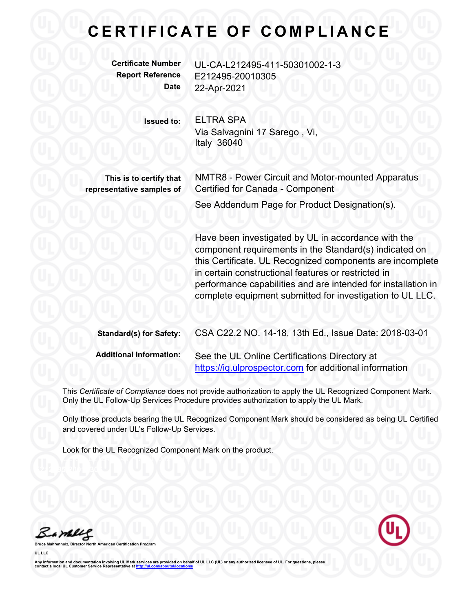## **C E R T I F I C A T E O F C O M P L I A N C E**

**Certificate Number** UL-CA-L212495-411-50301002-1-3 **Report Reference** E212495-20010305 **Date** 22-Apr-2021

**Issued to:** ELTRA SPA

Via Salvagnini 17 Sarego , Vi, Italy 36040

**This is to certify that representative samples of** NMTR8 - Power Circuit and Motor-mounted Apparatus Certified for Canada - Component

See Addendum Page for Product Designation(s).

Have been investigated by UL in accordance with the component requirements in the Standard(s) indicated on this Certificate. UL Recognized components are incomplete in certain constructional features or restricted in performance capabilities and are intended for installation in complete equipment submitted for investigation to UL LLC.

| <b>Standard(s) for Safety:</b> | CSA C22.2 NO. 14-18, 13th Ed., Issue Date: 2018-03-01                                                   |
|--------------------------------|---------------------------------------------------------------------------------------------------------|
| <b>Additional Information:</b> | See the UL Online Certifications Directory at<br>https://iq.ulprospector.com for additional information |

This *Certificate of Compliance* does not provide authorization to apply the UL Recognized Component Mark. Only the UL Follow-Up Services Procedure provides authorization to apply the UL Mark.

Only those products bearing the UL Recognized Component Mark should be considered as being UL Certified and covered under UL's Follow-Up Services.

Look for the UL Recognized Component Mark on the product.

Bambles

**Bruce Mahrenholz, Director North American Certification Program UL LLC**